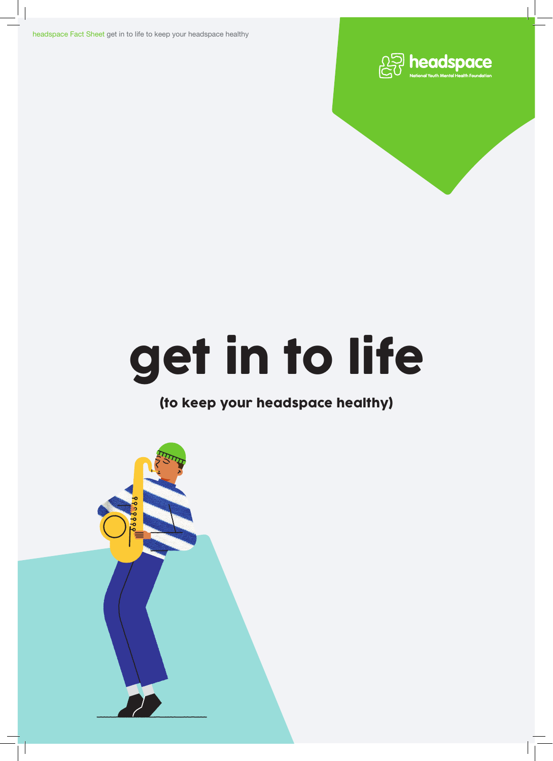headspace Fact Sheet get in to life to keep your headspace healthy



# get in to life

## (to keep your headspace healthy)